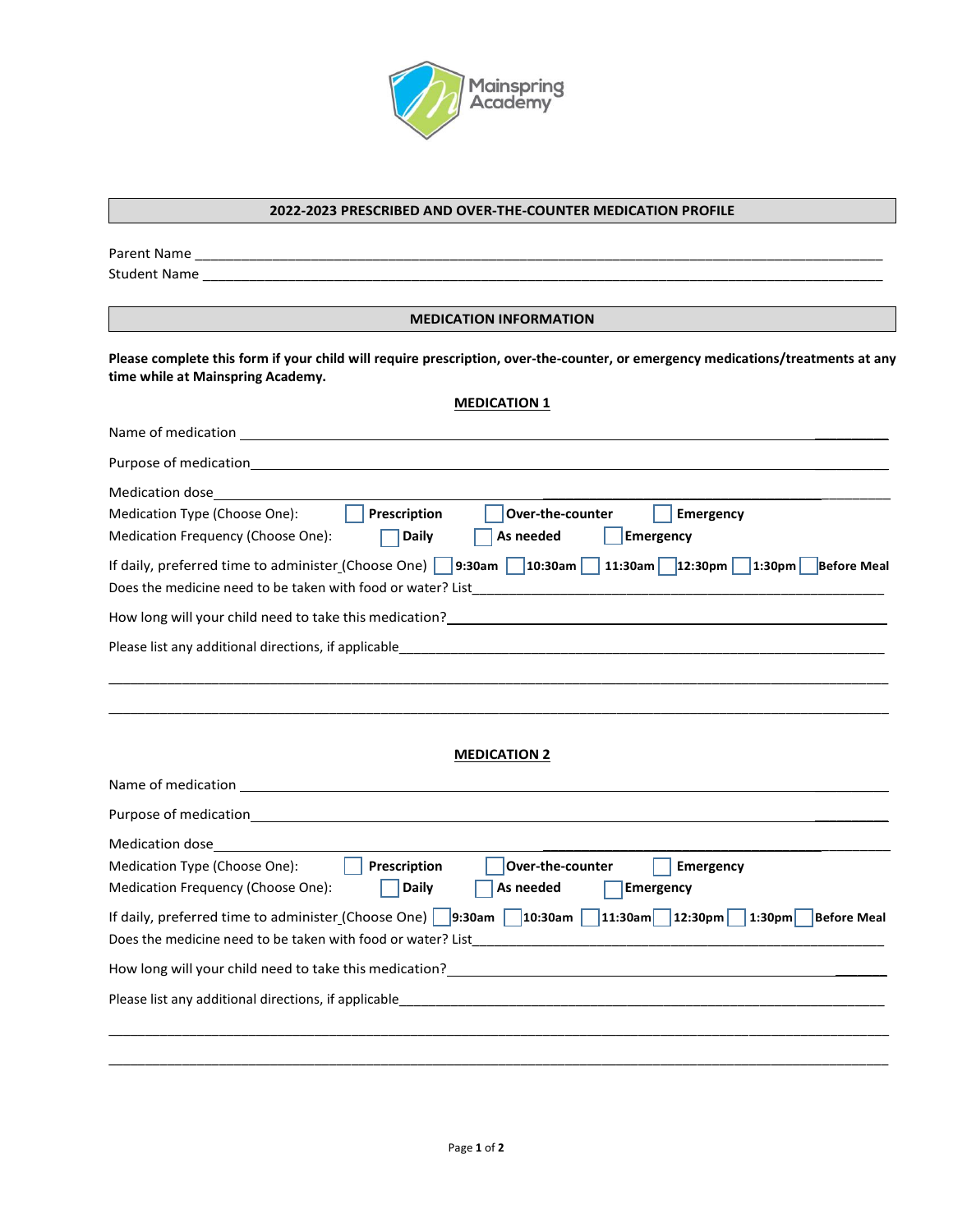

#### **2022-2023 PRESCRIBED AND OVER-THE-COUNTER MEDICATION PROFILE**

Parent Name \_\_\_\_\_\_\_\_\_\_\_\_\_\_\_\_\_\_\_\_\_\_\_\_\_\_\_\_\_\_\_\_\_\_\_\_\_\_\_\_\_\_\_\_\_\_\_\_\_\_\_\_\_\_\_\_\_\_\_\_\_\_\_\_\_\_\_\_\_\_\_\_\_\_\_\_\_\_\_\_\_\_\_\_\_\_\_\_\_

Student Name \_\_\_\_\_\_\_\_\_\_\_\_\_\_\_\_\_\_\_\_\_\_\_\_\_\_\_\_\_\_\_\_\_\_\_\_\_\_\_\_\_\_\_\_\_\_\_\_\_\_\_\_\_\_\_\_\_\_\_\_\_\_\_\_\_\_\_\_\_\_\_\_\_\_\_\_\_\_\_\_\_\_\_\_\_\_\_\_

#### **MEDICATION INFORMATION**

**Please complete this form if your child will require prescription, over-the-counter, or emergency medications/treatments at any time while at Mainspring Academy.**

## **MEDICATION 1**

| Name of medication<br><u> 1989 - Jan Sterling von Berling von Berling von Berling von Berling von Berling von Berling von Berling von B</u>                                                                                                                                                                         |
|---------------------------------------------------------------------------------------------------------------------------------------------------------------------------------------------------------------------------------------------------------------------------------------------------------------------|
|                                                                                                                                                                                                                                                                                                                     |
| Medication dose____________<br>Prescription<br>Over-the-counter<br>Medication Type (Choose One):<br>Emergency<br>Medication Frequency (Choose One):<br>As needed<br><b>Emergency</b><br><b>Daily</b><br>If daily, preferred time to administer (Choose One) 9:30am 10:30am 11:30am 1:30am 1:30pm 1:30pm Before Meal |
| How long will your child need to take this medication? <u>The announcement of the set of the set of the set of the set of the set of the set of the set of the set of the set of the set of the set of the set of the set of the</u>                                                                                |
|                                                                                                                                                                                                                                                                                                                     |
| <b>MEDICATION 2</b>                                                                                                                                                                                                                                                                                                 |
|                                                                                                                                                                                                                                                                                                                     |
| Medication dose_                                                                                                                                                                                                                                                                                                    |
| Prescription<br>Over-the-counter<br>Medication Type (Choose One):<br>Emergency<br>Medication Frequency (Choose One):<br><b>Daily</b><br>As needed<br>Emergency                                                                                                                                                      |
| If daily, preferred time to administer (Choose One) 9:30am 10:30am 11:30am 12:30pm 1:30pm Before Meal<br>Does the medicine need to be taken with food or water? List<br><u> 2000 - 2000 - 2000 - 2000 - 2000 - 2000 - 2000 - 2000 - 2000 - 2000 - 2000 - 2000 - 2000 - 2000 - 2000 - 200</u>                        |
| How long will your child need to take this medication?<br>The manufacture of the control of the control of the control of the control of the control of the control of t                                                                                                                                            |
| Please list any additional directions, if applicable entries and according to the control of the control of the                                                                                                                                                                                                     |
|                                                                                                                                                                                                                                                                                                                     |